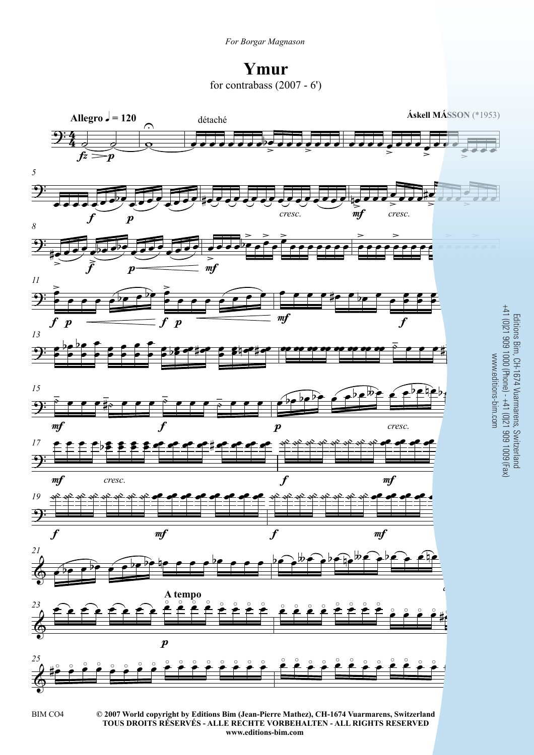**Ymur** for contrabass  $(2007 - 6')$ 



Editions Bim, CH-1674 Vuarmarens, Switzerland

**© 2007 World copyright by Editions Bim (Jean-Pierre Mathez), CH-1674 Vuarmarens, Switzerland** BIM CO4 3 **TOUS DROITS RÉSERVÉS - ALLE RECHTE VORBEHALTEN - ALL RIGHTS RESERVED www.editions-bim.com**